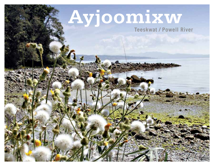# Ayjoomixw

### **Teeskwat / Powell River**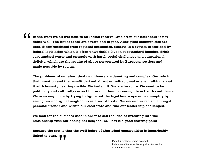In the west we all live next to an Indian reserve...and often our neighbour is not doing well. The issues faced are severe and urgent. Aboriginal communities are poor, disenfranchised from regional economies, operate in a system prescribed by federal legislation which is often unworkable, live in substandard housing, drink substandard water and struggle with harsh social challenges and educational deficits, which are the results of abuse perpetrated by European settlers and made possible by racism.

The problems of our aboriginal neighbours are daunting and complex. Our role in their creation and the benefit derived, direct or indirect, makes even talking about it with honesty near impossible. We feel guilt. We are insecure. We want to be politically and culturally correct but are not familiar enough to act with confidence. We overcomplicate by trying to figure out the legal landscape or oversimplify by seeing our aboriginal neighbours as a sad statistic. We encounter racism amongst personal friends and within our electorate and find our leadership challenged.

We look for the business case in order to sell the idea of investing into the relationship with our aboriginal neighbours. That is a good starting point.

Because the fact is that the well-being of aboriginal communities is inextricably linked to ours.

> — Powell River Mayor Stewart Alsgard Federation of Canadian Municipalities Convention, Victoria, February 10, 2010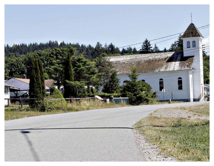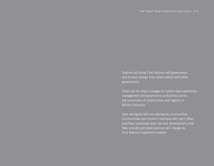Treaties will bring First Nations self government and forever change their relationships with other governments.

There will be major changes to current land ownership, management and governance authorities and to the economies of communities and regions in British Columbia.

How aboriginal and non-aboriginal communities communicate and conduct business with each other; how they coordinate land use and development; how they provide and share services will change as First Nations implement treaties.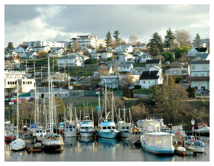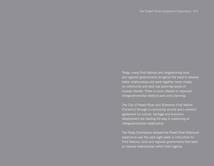Today, many First Nations and neighbouring local and regional governments recognize the need to develop better relationships and work together more closely on community and land use planning issues of mutual interest. There is more interest in improved intergovernmental relations and joint planning.

The City of Powell River and Sliammon First Nation (Tla'amin) through a community accord and a protocol agreement on culture, heritage and economic development are leading the way in sustaining an intergovernmental relationship.

The Treaty Commission believes the Powell River-Sliammon experience over the past eight years is instructive for First Nations, local and regional governments that want to improve relationships within their regions.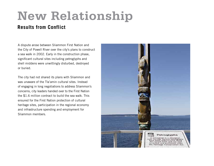# New Relationship

### **Results from Conflict**

A dispute arose between Sliammon First Nation and the City of Powell River over the city's plans to construct a sea walk in 2002. Early in the construction phase, significant cultural sites including petroglyphs and shell middens were unwittingly disturbed, destroyed or buried.

The city had not shared its plans with Sliammon and was unaware of the Tla'amin cultural sites. Instead of engaging in long negotiations to address Sliammon's concerns, city leaders handed over to the First Nation the \$1.6 million contract to build the sea walk. This ensured for the First Nation protection of cultural heritage sites, participation in the regional economy and infrastructure spending and employment for Sliammon members.

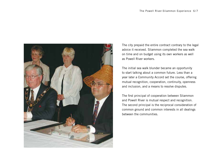

The city prepaid the entire contract contrary to the legal advice it received. Sliammon completed the sea walk on time and on budget using its own workers as well as Powell River workers.

The initial sea walk blunder became an opportunity to start talking about a common future. Less than a year later a Community Accord set the course, offering mutual recognition, cooperation, continuity, openness and inclusion, and a means to resolve disputes.

The first principal of cooperation between Sliammon and Powell River is mutual respect and recognition. The second principal is the reciprocal consideration of common ground and common interests in all dealings between the communities.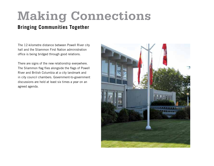## Making Connections

### **Bringing Communities Together**

The 12-kilometre distance between Powell River city hall and the Sliammon First Nation administration office is being bridged through good relations.

There are signs of the new relationship everywhere. The Sliammon flag flies alongside the flags of Powell River and British Columbia at a city landmark and in city council chambers. Government-to-government discussions are held at least six times a year on an agreed agenda.

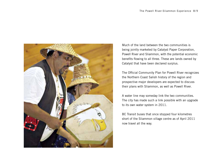

Much of the land between the two communities is being jointly marketed by Catalyst Paper Corporation, Powell River and Sliammon, with the potential economic benefits flowing to all three. These are lands owned by Catalyst that have been declared surplus.

The Official Community Plan for Powell River recognizes the Northern Coast Salish history of the region and prospective major developers are expected to discuss their plans with Sliammon, as well as Powell River.

A water line may someday link the two communities. The city has made such a link possible with an upgrade to its own water system in 2011.

BC Transit buses that once stopped four kilometres short of the Sliammon village centre as of April 2011 now travel all the way.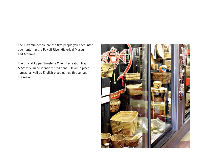The Tla'amin people are the first people you encounter upon entering the Powell River Historical Museum and Archives.

The official Upper Sunshine Coast Recreation Map & Activity Guide identifies traditional Tla'amin place names, as well as English place names throughout the region.

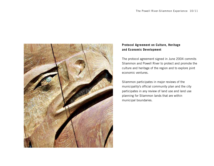

### **Protocol Agreement on Culture, Heritage and Economic Development**

The protocol agreement signed in June 2004 commits Sliammon and Powell River to protect and promote the culture and heritage of the region and to explore joint economic ventures.

Sliammon participates in major reviews of the municipality's official community plan and the city participates in any review of land use and land use planning for Sliammon lands that are within municipal boundaries.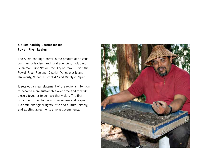### **A Sustainability Charter for the Powell River Region**

The Sustainability Charter is the product of citizens, community leaders, and local agencies, including Sliammon First Nation, the City of Powell River, the Powell River Regional District, Vancouver Island University, School District 47 and Catalyst Paper.

It sets out a clear statement of the region's intention to become more sustainable over time and to work closely together to achieve that vision. The first principle of the charter is to recognize and respect Tla'amin aboriginal rights, title and cultural history, and existing agreements among governments.

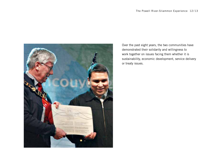

Over the past eight years, the two communities have demonstrated their solidarity and willingness to work together on issues facing them whether it is sustainability, economic development, service delivery or treaty issues.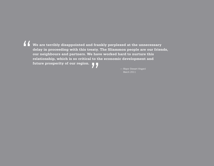We are terribly disappointed and frankly perplexed at the unnecessary delay in proceeding with this treaty. The Sliammon people are our friends, our neighbours and partners. We have worked hard to nurture this relationship, which is so critical to the economic development and future prosperity of our region.

> — Mayor Stewart Alsgard March 2011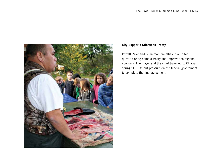

### **City Supports Sliammon Treaty**

Powell River and Sliammon are allies in a united quest to bring home a treaty and improve the regional economy. The mayor and the chief travelled to Ottawa in spring 2011 to put pressure on the federal government to complete the final agreement.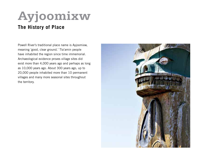# Ayjoomixw

### **The History of Place**

Powell River's traditional place name is Ayjoomixw, meaning 'good, clear ground.' Tla'amin people have inhabited the region since time immemorial. Archaeological evidence proves village sites did exist more than 4,000 years ago and perhaps as long as 10,000 years ago. About 300 years ago, up to 20,000 people inhabited more than 10 permanent villages and many more seasonal sites throughout the territory.

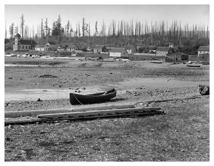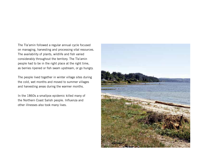The Tla'amin followed a regular annual cycle focused on managing, harvesting and processing vital resources. The availability of plants, wildlife and fish varied considerably throughout the territory. The Tla'amin people had to be in the right place at the right time, as berries ripened or fish swam upstream, or go hungry.

The people lived together in winter village sites during the cold, wet months and moved to summer villages and harvesting areas during the warmer months.

In the 1860s a smallpox epidemic killed many of the Northern Coast Salish people. Influenza and other illnesses also took many lives.

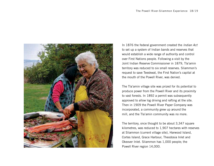

In 1876 the federal government created the *Indian Act* to set up a system of Indian bands and reserves that would establish a wide range of authority and control over First Nations people. Following a visit by the Joint Indian Reserve Commissioner in 1879, Tla'amin territory was reduced to six small reserves. Sliammon's request to save Teeskwat, the First Nation's capital at the mouth of the Powell River, was denied.

The Tla'amin village site was prized for its potential to produce power from the Powell River and its proximity to vast forests. In 1892 a permit was subsequently approved to allow log driving and rafting at the site. Then in 1909 the Powell River Paper Company was incorporated, a community grew up around the mill, and the Tla'amin community was no more.

The territory, once thought to be about 3,347 square kilometres, was reduced to 1,907 hectares with reserves at Sliammon (current village site), Harwood Island, Cortes Island, Grace Harbour, Theodosia Inlet and Okeover Inlet. Sliammon has 1,000 people; the Powell River region 14,000.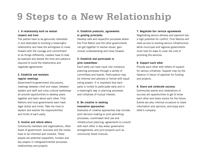### 9 Steps to a New Relationship

### **1. A relationship built on mutual respect and trust**

The parties have to be genuinely interested in and dedicated to building a meaningful relationship and have the willingness to move forward with the courage and commitment to do things differently. Leaders have to lead by example and devote the time and patience required to build the relationship and negotiate agreements.

### **2. Establish and maintain regular meetings**

Government-to-government discussions, meetings between chief and mayor, between leaders and staff and cross cultural workshops all provide opportunities to develop plans together and learn about each other. First Nations and local governments each have legal duties and limits. Take the time to explain and explore the responsibilities and limits of each party.

#### **3. Involve and inform others**

Community members and organizations, other levels of government, business and the media have to be informed and involved. These people are potential supporters, funders and key players in intergovernmental processes, relationships and projects.

### **4. Establish protocols, agreements or guiding principles**

Develop safe and respectful processes where the First Nation and the other governments can get together to resolve issues, gain mutual understanding and move forward.

### **5. Establish and participate in joint committees**

Each party can have input into numerous planning processes through a variety of committees and boards. Participation may be informal and advisory or formal with equal voting powers. It is important that each party is invited to participate early and in a meaningful way in planning processes and initiatives of mutual interest.

### **6. Be creative in seeking innovative approaches**

Examples of creative approaches may include: joint decision-making or joint permitting processes; coordinated land use and infrastructure planning; agreements to consult with each other in key areas; governance arrangements; and joint projects such as community forest licences.

#### **7. Negotiate fair service agreements**

Negotiating service delivery and payment has a high potential for conflict. First Nations will need access to existing service infrastructure while municipal and regional governments must look for ways to cover the cost of providing the services.

#### **8. Support each other**

Provide each other with letters of support for various initiatives. Support may tip the balance in favour of approval for funding and projects.

#### **9. Share and celebrate success**

Community events and celebrations of success are opportunities to get to know each other and share visions for the future. Events are also informal occasions to share information and opinions, and enjoy each other's company.